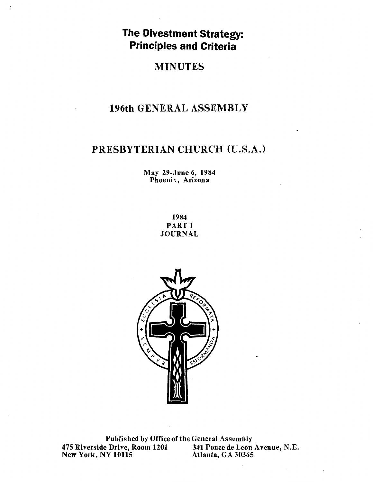**The Divestment Strategy: Principles and Criteria** 

 $\ddot{\cdot}$ 

# MINUTES

# 196th GENERAL ASSEMBLY

# PRESBYTERIAN CHURCH (U.S.A.)

May 29-June 6, 1984 Phoenix, Arizona

> 1984 PART I JOURNAL



Published by Office of the General Assembly 475 Riverside Drive, Room 1201 341 Ponce de Leon Avenue, N.E. New York, NY 10115 Atlanta, GA 30365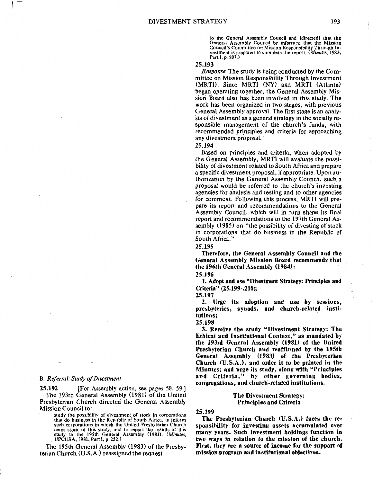to the General Assembly Council and (directed] that the General Assembly Council be informed that the Mission Council's Committee on Mission Responsibiiity Through Investment is prepared to complete the report. *(Minutes, 1983,* Part 1, p. 207.)

#### 25.193

*Response:* The.study is being conducted by the Committee on Mission Responsibility Through Investment (MRTI). Since MRTI (NY) and MRTI (Atlanta) began operating together, the General Assembly Mission Board also has been involved in this study. The work has been organized in two stages, with previous General Assembly approval. The first stage is an analy- ·sis of divestment as a general strategy in the socially responsible management of the church's funds, with recommended principles and criteria for approaching any divestment proposal.

#### 25.194

Based on principles and criteria, when adopted by the General Assembly, MRTI will evaluate the possibility of divestment related to South Africa and prepare a specific divestment proposal, if appropriate. Upon authorization by the General Assembly Council, such a proposal would be referred to the church's ·investing agencies for analysis and testing and to other agencies for comment. Following this process, MRTI will prepare its report and recommendations to the General Assembly Council, which will in turn shape its final report and recommendations to the 197th General Assembly (1985) on "the possibility of divesting of stock in corporations that do business in the Republic of South Africa."

25.195

Therefore, the General Assembly Council and the General Assembly Mission Board recommends that the 196th.General Assembly (1984):

25.196

1. Adopt and use "Divestment Strategy: Principles and Criteria" (25.199-.210);

25.197

2. Urge its adoption and use by sessions, presbyteries, synods, and church-related institutions:

25.198

3. Receive the study "Divestment Strategy: The Ethical and Institutional Context," as mandated by the 193rd General Assembly (1981) of the United Presbyterian Church and reaffirmed by the 195th General Assembly (1983) of the Presbyterian Church (U.S.A.), and order it to be printed in the Minutes; and urge its study, along with "Principles and Criteria," by other governing bodies, congregations, and church--related institutions.

# The Divestment Strategy.: Principles and Criteria

# 25.199

The Presbyterian Church (U.S.A.) faces the responsibility for investing assets accumulated over many years. Such investment holdings function in two ways in relation to the mission of the church. First, they are a source of income for the support of mission. program and institutional objectives.

# B. *Referral: Study of Divestment*

25.192 [For Assembly action, see pages 58, 59.] The 193rd General Assembly (1981) of the United Presbyterian Church directed the General Assembly Mission Council to:

study the possibility of divestment of stock in corporations that do business in the Republic of South Africa, to inform owns stock of this study, and to report the results of this study to the 195th General Assembly (1983). (Minutes, . UPCUSA, 1981, Part I, p. 252.)

The 195th General Assembly (1983) of the Presbyterian Church (U.S.A.) reassigned the request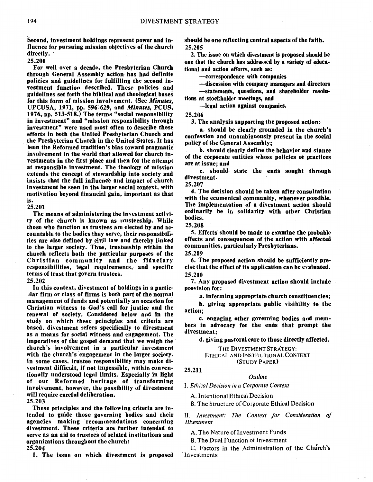Second, investment holdings represent power and influence for pursuing mission objectives of the church directly.

# 25.200'

For well over a decade, the Presbyterian Church through General Assembly action· has had definite policies and guidelines for fulfilling. the second investment function described. These policies and guidelines set forth the biblical and theological bases for this form of mission involvement. (See *Minutes*, UPCUSA, 1971, pp. 596;,629, and *Minutes,* PCUS, 1976, pp. 513-518.) The terms "social responsibility in investment" and "mission responsibility through investment'' were used most often to describe these efforts in both the United Presbyterian Church and the Presbyterian Church in the United States. It has been the Reformed tradition's bias toward pragmatic involvement in the world that allowed for church investments in the first place and then for the attempt at responsible investment. The theology of mission extends the concept of stewardship into society and insists that the full influence and impact of church investment be seen in the larger social context, with motivation beyond financial gain, important as that is.

25.201

The means of administering the investment activity of the church is known as trusteeship. While those who function as trustees are elected by and accountable to the bodies they serve, their responsibilities are also defined by civil law and thereby linked to the larger society. Thus, trusteeship within the church reflects both the particular purposes of the Christian community and the fiduciary responsibilities, legal requirements, and specific terms of trust that govern trustees.

# 25.202

In this context, divestment of holdings in a partictlar firm or class of firms is both part of the normal management of funds and potentially an occasion for Christian witness to God's call for justice and the renewal of society. Considered below and in the study on which these principles and criteria are based, divestment refers specifically to divestment as a means for social witness and engagement. The imperatives of the gospel demand that we weigh the church's involvement in a particular investment with the church's engagement in the larger society. In some cases, trustee responsibility may make divestment difficult, if not impossible, within conventionally understood legal limits. Especially in light of our Reformed heritage of transforming involvement, however, the possibility of divestment will require careful deliberation.

25.203

These principles and the following criteria are intended to guide those governing bodies and their agencies making recommendations concerning divestment. These criteria are further intended to serve as an aid to trustees of related institutions and organizations throughout the church: 25.204

1. The issue on which divestment is proposed

should be one reflecting central aspects of the faith. 25.205

2. The issue on which divestment is proposed should be one that the church has addressed by a variety of educational and action efforts, such as:

-correspondence with companies

-discussion with company managers and directors

-statements, questions, and shareholder resolutions at stockholder meetings, and

-legal action against companies.

25.206

3. The analysis supporting the proposed action:

a. should be clearly grounded in the church's confession and unambiguously present in the social policy of the General Assembly;

b. should clearly define the behavior and stance of the corporate entities whose policies or practices are at issue; and

c. should- state the ends sought through divestment.

25.207

4. The decision should be taken after consultation with the ecumenical community, whenever possible. The implementation of a divestment action should ordinarily be in solidarity with other Christian bodies.

25.208

25.211

5. Efforts should be made to examine the probable effects and consequences of the action with affected communities, particularly Presbyterians. · 25.209

6. The proposed action should be sufficiently precise that the effect of its application can be evaluated. 25.210

7. Any proposed divestment action should include provision for:

a. informing appropriate church constituencies;

b. giving appropriate public visibility to the action;

c. engaging other governing bodies and members in advocacy for the ends that prompt the divestment;

d. giving pastoral care to those directly affected.

THE DIVESTMENT STRATEGY: ETHICAL AND INSTITUTIONAL CONTEXT (STUDY PAPER)

# *Outline*

I. *Ethical Decision in a Corporate Context* 

A. Intentional Ethical Decision

B. The Structure of Corporate Ethical Decision

II. *Investment: The Context for Consideration of Divestment* 

A. The Nature of Investment Funds

B. The Dual Function of Investment

C. Factors in the Administration of the Church's **Investments**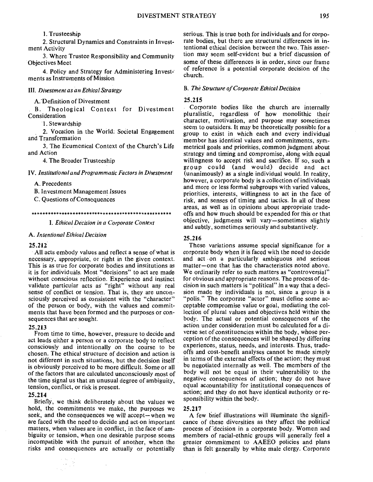1. Trusteeship

2. Structural Dynamics and Constraints in Investment Activity

3. Where Trustee Responsibility and Community Objectives Meet

4. Policy and Strategy for Administering Invest-· ments as Instruments of Mission

# III. *Divestment as an Ethical Strategy*

A. Definition of Divestment

B. Theological Context for Divestment Consideration

1. Stewardship

2. Vocation in the World: Societal Engagement and Transformation

3. The Ecumenical Context of \he Church's Life and Action

4. The Broader Trusteeship

IV. *Institutional and Programmatic Factors in Divestment* 

A. Precedents

B. Investment Management Issues

C. Questions of Consequences

\*\*\*\*\*\*\*\*\*\*\*\*\*\*\*\*\*\*\*\*\*\*\*\*\*\*\*\*\*\*\*\*\*\*\*\*\*\*\*\*\*\*\*\*\*\*\*\*\*\*\*

I. *Ethical DeCision in a Corporate Context* 

#### A. *Intentional Ethical Decision*

# 25.212

All acts embody values and reflect a sense of what is necessary, appropriate, or right in the given context. This is as true for corporate bodies and institutions as it is for individuals. Most "decisions" to act are made without conscious reflection. Experience and instinct validate particular acts as "right" without any real sense of conflict or tension. That is, they are unconsciously perceived as consistent with the "character" of the person or body, with the values and commitments that have been formed and the purposes or consequences that are sought.

# 25.213

From time to time, however, pressure to decide and act leads either a person or a corporate body to reflect consciously and intentionally on the course to be chosen. The ethical structure of decision and action is not different in such situations, but the decision itself is obviously perceived to be more difficult. Some or all of the factors that are calculated unconsciously most of the time signal us that an unusual degree of ambiguiiy, tension, conflict, or risk is present.

# 25.214

Briefly, we think deliberately about the values we hold, the commitments we make, the purposes we seek, and the consequences we will accept-when we are faced with the need to decide and act.on important matters, when values are in conflict, in the face of ambiguity or tension, when one desirable purpose seems incompatible with the pursuit of another, when the risks and consequences are actually or potentially

serious. This is true both for individuals and for corporate bodies, but there are structural differences in intentional ethical decision between the two. This assertion may seem self-evident but a brief discussion of some of these differences is in order, since our frame of reference is a potential corporate decision of the church.

# B. *The Structure of Corporate Ethical DeCision*

#### 25.215

Corporate bodies like the church are internally pluralistic, regardless of how monolithic their character, motivation, and purpose may sometimes seem to outsiders. It may be theoretically possible for a group to exist in which each and every individual member has identical values and commitments, symmetrical goals and priorities, common judgment about strategy and timing and compromise, along with equal willingness to accept risk and sacrifice. If so, such a group could (and would) decide and act (unanimously) as a single individual would. In reality, however, a corporate body is a collection of individuals and more or less formal subgroups with varied values, priorities, interests, willingness to act in the face of risk, and senses of timing and tactics. In all of these areas, as well as in opinions about appropriate tradeoffs and how much should be expended for this or that objective, judgments will vary-sometimes slightly and subtly, sometimes seriously and substantively.

# 25.216

These variations assume special significance for a corporate body when it is faced with the need to decide and act . on a particularly ambiguous and serious matter-one that has the characteristics noted above. We ordinarily refer to such matters as "controversial" for obvious and appropriate reasons. The process of decision in such matters is "political" in a way that a decision made by individuals is not, since a group is a "polis." The corporate "actor" must define some acceptable compromise value or goal, mediating the collection of plural values and objectives held within the body. The actual or potential consequences of the action under consideration must be calculated for a diverse set of constituencies within the body, whose perception of the consequences will be shaped by differing experiences, status, needs, and interests. Thus, tradeoffs and cost-benefit analyses cannot be made simply in terms of the external effects of the action; they must be negotiated internally as well. The members of the body will not be equal in their vulnerability to the negative consequences of action; they do not have equal accountability for institutional consequences of action; and they do not have identical authority or responsibility within the body.

# 25.217

A few brief illustrations will illuminate the significance of these diversities as they affect the political process of'decision in a corporate body. Women and members of racial-ethnic groups will generally feel a greater commitment to AAEEO policies and plans than is felt generally by white male clergy. Corporate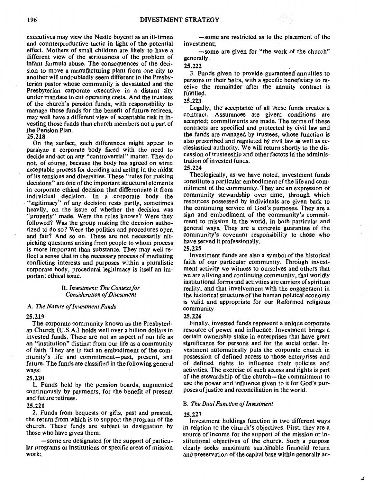executives may view the Nestle boycott as an ill-timed and counterproductive tactic in light of the potential effect. Mothers of small children are likely to have a different view of the seriousness of the problem of infant formula abuse. The consequences of the decision to· move a manufacturing plant from one city to another will undoubtedly seem different to the Presbyterian pastor whose community is devastated and the Presbyterian corporate executive in a distant city under mandate to cut operating costs. And the trustees of the church's pension funds, with responsibility to manage those funds for the benefit of future retirees, may well have a different view of acceptable risk in investing those funds than church members not a part of .the Pension Plan.

#### 25.218

On the surface, such differences might appear to paralyze a corporate body faced with the need to decide and act on any "controversial" matter. They do not, of course, because the body has agreed on some acceptable process for deciding and acting in the midst of its tensions and diversities. These "rules for making decisions" are one of the important structural elements in corporate ethical decision that differentiate it from individual decision. In a corporate body the . "legitimacy" of any decision rests partly, sometimes heavily, on the issue of whether the decision was "properly" made. Were the rules known? Were they followed? Was the group making the decision authorized to do so? Were the politics and procedures open and fair? And so on. These are not necessarily nitpicking questions arising from people to whom process· is more important than substance. They may well refleet a sense that in the necessary process of mediating conflicting interests and purposes within a pluralistic corporate body, procedural legitimacy is itself an important ethical issue.

# II. *Investment: The Context/or Consideration of Divestment*

#### A. *The Nature of Investment Funds*

#### 25.219

The corporate community known as the Presbyterian Church (U.S.A.) holds well over a billion dollars in invested funds. These are not an aspect of our life as an "institution" distinct from our life as a community of faith. They are in fact an embodiment of the community's life and commitment-past, present, and future. The funds are classified in the following general ways:

# 25.220

1.. Funds held by the pension boards, augmented continuously by payments, for the benefit of present and future retirees.

# 25.221

2. Funds from bequests or gifts, past and present,· the return from which is to support the program of the church. These funds are subject to designation by those who have given them:

-some are designated for the support of particular programs or institutions or specific areas of mission work;

-some are restricted as to the placement of the investment;

-some are given for "the work of the church" generally.

#### 25.222

3. Funds given to provide guaranteed annuities to persons or their heirs, with a specific beneficiary to receive the remainder after the annuity contract is.<br>fulfilled.

fulfilled. . . 25.223

Legally, the· acceptance of all these funds creates a contract. Assurances are given; conditions are accepted; commitments are made. The terms of these contracts are specified and protected· by civil law and the funds are managed by trustees, whose function is also prescribed and regulated by civil law as well as ecclesiastical authority. We will return shortly to the discussion of trusteeship and other factors in the administration of invested funds.

25.224

Theologically, as we have noted, investment funds constitute a particular embodiment of the life and commitment of the community. They are an expression of community stewardship over time, through which resources possessed by individuals are given back to the continuing service. of God's purposes. They are a sign and embodiment of the community's commitment to mission in the world, in both particular and general ways. They are a concrete guarantee of the community's covenant responsibility to those who have ser.ved it professionally.<br>25.225

25.225  $\sim$ 

Investment funds are also a symbol of the historical faith of our particular community. Through investment activity we witness to ourselves and others that we are a living and continuing community, that worldly institutional forms and activities are carriers of spiritual reality, and that involvement with the engagement in the historical structure of the human political economy is valid and appropriate for our Reformed religious community.

#### 25.226

Finally, invested funds represent a unique corporate resource of power and influence. Investment brings a certain ownership stake in enterprises that have great significance for persons and for the social order. Investment automatically puts the corporate church in possession of defined access to those. enterprises and of defined rights to influence their policies and activities. The exercise of such access and rights is part of the stewardship of the church-the commitment to use the power and influence given to it for God's purposes of justice and reconciliation in the world.

# B. *The Dual Function of Investment*

#### 25.227

Investment holdings function in two different ways in relation to the church's objectives. First, they are a source of income for the support of the mission or institutional objectives of the church. Such a purpose clearly seeks maximum sustainable financial· return and preservation of the capital base within generally ac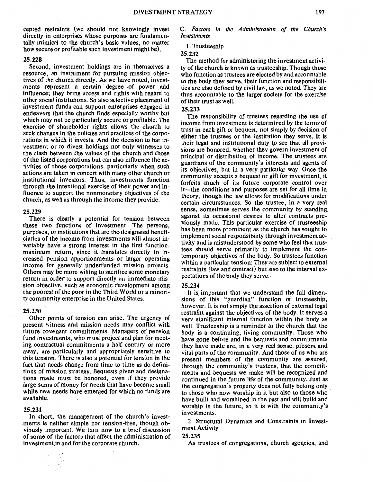cepted restraints (we should not knowingly invest directly in enterprises whose purposes are fundamentally inimical to the church's basic values, no matter how secure or profitable such investment might be).

# 25.228

Second, investment holdings are in themselves a resource, an instrument for pursuing mission objectives of the church directly. As we have noted, investments represent a certain degree of power and influence; they bring access and rights with regard to other social institutions. So also selective placement of investment funds can support enterprises engaged in endeavors that the church finds especially worthy but which may not be particularly secure or profitable. The exercise of shareholder rights allows the church to seek changes in the policies and practices of the corpo- . rations in which it invests. And the decision to bar investment or to divest holdings not only witnesses to the clash between the values of the church and those of the listed corporations but can also influence the activities of those corporations, particularly when such actions are taken in concert with many other church or institutional investors. Thus, investments function through the intentional exercise of their power and influence to support the nonmonetary objectives of the church, as well as through the income they provide.

# 25.229

There is clearly a potential for tension between these two functions of investment. The persons, purposes, or institutions that are the designated beneficiaries of the income from investments will almost in variably have a strong interest in the first function, maximum return, since it translates directly to increased pension apportionments or larger operating income for generally underfunded mission projects. Others may be more willing to sacrifice some monetary return in order to support directly an immediate mission objective, such as economic development among the poorest of the poor in the Third World or a minority community enterprise in the United States.

# 25.230

Other points of tension can arise. The urgency of present witness and mission needs may conflict with future covenant commitments. Managers of pension fund investments, who must project and plan for meeting contractual commitments a half century or more away, are particularly and appropriately sensitive to this tension. There is also a potential for tension in the fact that needs change from time to time as do definitions of mission strategy. Bequests given and designations made· must be honored, even if they provide large sums of money for needs that have become small while new needs have emerged for which no funds are available.

# 25.231

개가 좋. 

In short, the management of the church's investments is neither simple nor tension-free, though obviously important. We turn now to a brief discussion of some of the factors that affect the administration of investment in and for the corporate church.

C. *Factors in the Administration of the Church's Investments* 

1. Trusteeship

# 25.232

The method for administering the investment activity of the church is known as trusteeship. Though those who function as trustees are elected by and accountable to the body they serve, their function and responsibilities are also defined by civil law, as we noted. They are thus accountable to the larger society for the exercise of their trust as well.

# 25.233

The responsibility of trustees regarding the use of income from investment is determined by the terms of trust in each gift or bequest, not simply by decision of either the trustees or the institution they serve. It is their legal and institutional duty to see that all provisions are honored, whether they govern investment of principal or distribution of income. The trustees are guardians of the community's interests and agents of its objectives, but in a very particular way. Once the community accepts a bequest or gift for investment, it forfeits much of its future corporate control over it-the conditions and purposes are set for all time in theory, though the law allows for modifications under certain circumstances. So the trustee, in a very real sense, sometimes serves the community by standing. against its occasional desires to alter contracts previously made. This particular exercise of trusteeship has been more prominent as the church has sought to implement social responsibility through investment activity and is misunderstood by some who feel that trustees should serve primarily to implement the contemporary objectives of the body. So trustees function within a particular tension: They are subject to external restraints (law and contract) but also to the internal expectations of the body they serve.

# 25.234

It is important that we understand the full dimensions of this "guardian" function of trusteeship, however. It is not simply the assertion of external legal restraint against the objectives of the body. It serves a very significant internal function within the body as well. Trusteeship is a reminder to the church that the body is a continuing, living community. Those who have gone before and the bequests and commitments they have made are, in a very real sense, present and vital parts of the community. And those of us who are present' members of the community are assured, through the community's trustees, that the commitments and bequests we make will be recognized and continued in the future life of the community. Just as the congregation's property does not fully belong only to those who now worship in it but also to those who have built and worshiped in the past and will build and worship in the future, so it is with the community's investments.

2. Structural Dynamics and Constraints in Investment Activity

#### 25.235

As trustees of congregations, church agencies, and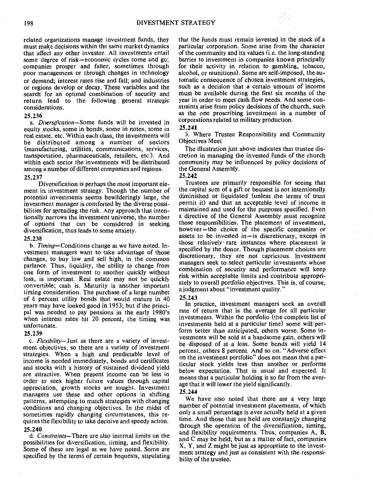related organizations manage investment funds, they must make decisions within the same market dynamics that affect any other investor. All investments entail some degree of risk-economic cycles come and go; companies prosper and falter, sometimes through poor management or through changes in technology or demand; interest rates rise and fall; and industries or regions develop or decay. These variables and the search for an optimal combination of security and return lead to the following general strategic considerations.

# 25.236

a. Diversification-Some funds will be invested in equity stocks, some in bonds, some in notes, some in real estate, etc. Within each class, the investments will be distributed among a number of sectors (manufacturing, utilities, communications, services, transportation, pharmaceuticals, retailers, etc.). And within each sector the investments will be distributed among a number of different companies and regions.

# 25.237

Diversification is perhaps the most important element in investment strategy. Though the number of potential investments seems bewilderingly large, the investment manager is comforted by the diverse possibilities for spreading the risk. Any approach that intentionally narrows the investment universe, the number of options that can be considered in seeking diversification, thus leads to some anxiety.

# 25.238

b. *Timing-Conditions* change as we have noted. Investment managers want to take advantage of those changes, to buy low and sell high, in the common parlance. Thus, liquidity, the ability to change from one form of investment to another quickly without loss, is important. Real estate may not be quickly . convertible; cash is. Maturity is another important timing consideration. The purchase of a large number of 6 percent utility bonds that would mature in 40 years may have looked good in 1953; but if the principal was needed to pay pensions in the early 1980's when interest rates hit 20 percent, the timing was unfortunate.

# 25.239

c. *Flexibility-Just* as there are a variety of investment objectives, so there are a variety of investment strategies. When a high and predictable level of income is needed immediately, bonds and certificates and stocks with a history of sustained dividend yield are attractive. When present income can be less in order to seek higher future values through capital appreciation, growth stocks are sought. Investment managers use these and other options in shifting patterns, attempting to match strategies with changing conditions and changing objectives. In the midst of sometimes rapidly changing circumstances, this requires the flexibility to take decisive and speedy action.

# 25.240

d. *Constraints-*There are also internal limits on the possibilities for diversification, timing, and flexibility. Some of these are legal as we have noted. Some are specified by the terms of certain bequests, stipulating that the funds must remain invested in the stock of a particular corporation. Some arise from the character of the community and its values (i.e. the long-standing barrier to investment in companies known principally for their activity in relation to gambling, tobacco, alcohol, or munitions). Some are self~imposed, the automatic consequence of chosen investment strategies, such as a decision that .a certain amount of income must be available during the first six months of the year in order to meet cash flow needs. And some constraints arise from policy decisions of the church, such as the one proscribing investment in a number of corporations related to military production.

# 25.241

3. Where Trustee Responsibility and Community Objectives Meet

The illustration just above indicates that trustee discretion in· managing the invested funds of the church community may be influenced by policy decisions of the General Assembly.

#### 25.242

Trustees are primarily responsible for seeing that the capital sum of a gift or bequest is not intentionally diminished or liquidated (unless the terms· of trust permit it) and that an acceptable level of income is maintained and used for the purposes specified. Even a directive of the General Assembly must recognize those responsibilities. The placement of investment, however-the choice of the specific companies or assets to be invested in-is discretionary, except in those relatively· rare instances where placement is specified by the donor. Though placement choices are discretionary, they are not capricious. Investment managers seek to select particular investments whose combination of security and performance will keep risk within acceptable limits and contribute appropriately to overall portfolio objectives. This is, of course, a judgment about "investment quality."

# 25.243

In practice, investment managers seek an overall rate of return that is the average for all particular investments. Within the portfolio (the complete list of investments held at a particular time) some will perform better than anticipated, others worse. Some investments will be sold at a handsome gain, others will be disposed of at a loss. Some bonds will yield 14 percent, others 8 percent. And so on. "Adverse effect on the investment portfolio" does not mean that a particular stock yields less than another or performs below expectation. That is usual and expected. It means that a particular holding is so far from the average that it will lower the yield significantly.

# 25.244

We have also noted that there are a very large number of potential investment placements, of which only a small percentage is ever actually held at a given time. And those that are held are constantly changing through the operation of the diversification, timing, and flexibility requirements. Thus, companies A, B, and C may be held; but as a matter of fact, companies X, Y, and Z might be just as appropriate to the investment strategy and just as consistent with the responsibility of the trustee.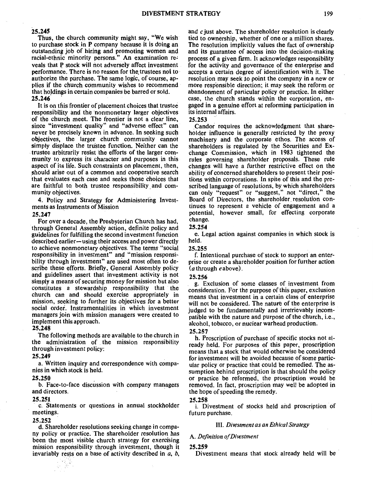# 25.245

Thus, the church community might say, "We wish to purchase stock in P company because it is doing an outstanding job of hiring and promoting women and racial-ethnic minority persons." An examination reveals that P stock will not adversely affect investment performance. There is no reason for the trustees not to authorize the purchase. The same logic, of course, applies if the church community wishes to recommend that holdings in certain companies be barred or sold.

# 25.246

It is on this frontier of placement choices that trustee responsibility and the nonmonetary larger objectives ·of the church meet. The frontier is not a clear line, since "investment quality" and "adverse effect" can never be precisely known in advance. In seeking such objectives, the larger church community cannot simply displace the trustee function. Neither can the . trustee arbitrarily resist the efforts of the larger community to express its character and purposes in this aspect of its life. Such constraints on placement, then, should arise out of a common and cooperative search that evaluates each case and seeks those choices that are faithful to both trustee responsibility and community objectives.

4. Policy and Strategy for Administering Investments as Instruments of Mission

# 25.247

For over a decade, the Presbyterian Church has had, through General Assembly action, definite policy and guidelines for fulfilling the second investment function described earlier-using their access and power directly to achieve nonmonetary objectives. The terms "social responsibility in investment" and "mission responsibility through investment" are used most often to describe these efforts. Briefly, General Assembly policy and guidelines assert that investment activity is not simply a means of securing money for mission but also constitutes a stewardship responsibility that the church can and should exercise appropriately in mission, seeking to further its objectives for a better social order. Instrumentalities in which investment managers join with mission managers were created to implement this approach.

# 25.248

The following methods are available to the church in the administration of the mission responsibility through investment policy:

# 25.249

a. Written inquiry and correspondence with companies in which stock is held.

# 25.250

b. Face-to-face discussion with company managers and directors.

#### 25.251

c. Statements or questions in annual stockholder meetings.

#### 25.252

d. Shareholder resolutions seeking change in company policy or practice. 'The shareholder resolution has been the most visible church strategy for exercising mission responsibility through investment, though it invariably rests on a base of activity described in  $a, b$ ,

and *c* just above. The shareholder resolution is clearly tied to ownership, whether of one or a million shares. The resolution implicitly values the fact of ownership and its guarantee of access into the decision-making process of a given ftrm. It acknowledges responsibility for the activity and governance of the enterprise and accepts a certain. degree of identification with it. The resolution may seek to point the company in a new or more resp'onsible direction; it may seek the reform or abandonment of particular policy or practice. In either case, the church stands within the corporation, engaged in a genuine effort at reforming participation in its internal affairs.

#### 25.253

Candor requires the acknowledgment that shareholder influence is generally restricted by the proxy machinery and the corporate ethos. The access of shareholders is regulated by the Securities and Exchange Commission, which in 1983 tightened the rules governing shareholder proposals. These rule changes will have a further restrictive effect on the ability of concerned shareholders to present their positions within corporations. In spite of this and the prescribed language of resolutions, by which shareholders can only "request" or "suggest," not "direct," the Board of Directors, the shareholder. resolution continues to represent a vehicle of engagement and a potential, however small, for effecting corporate change.

#### 25.254

e. Legal action against companies in which stock is held.

# 25.255

f. Intentional purchase of stock to support an enterprise or create a shareholder position for further action (a through e above).

#### 25.256

g. Exclusion of some classes of investment from consideration. For the· purpose of this paper, exclusion means that investment in a certain class of enterprise will not be considered. The nature of the enterprise is judged to be fundamentally and irretrievably incompatible with the nature and purpose of the church, i.e., alcohol, tobacco, or nuclear warhead production.

# 25.257

h. Proscription of purchase of specific stocks not already held. For purposes of this paper, proscription means that a stock that would otherwise be considered for investment will be avoided because of some particular policy or practice that could be remedied. The assumption behind proscription is that should the policy or practice be reformed, the proscription would be removed. In fact, proscription may well be adopted in the hope of speeding the remedy.

#### 25.258

i. Divestment of stocks held and proscription of future purchase.

## III. *Diw:stment as an Ethical Strategy*

#### A. *Definition of Divestment*

#### 25.259

Divestment means that stock already held will be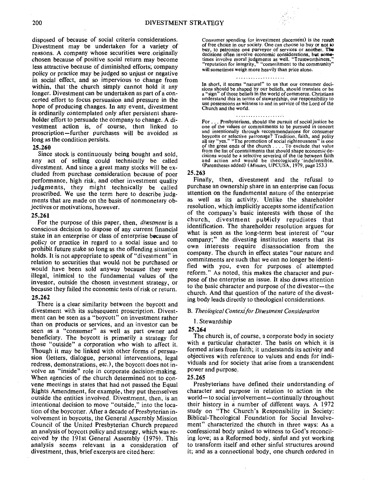disposed of because of social criteria considerations. Divestment may be undertaken for a variety of reasons. A company whose securities were originally chosen because of positive social return may become less attractive because of diminished efforts; company policy or practice may be juqged so unjust or negative in social effect, and so impervious to change from within, that the church simply cannot hold it any longer. Divestment can be undertaken as part of a concerted effort to focus persuasion and pressure in the hope of producing changes. In any event, divestment is ordinarily contemplated only after persistent shareholder effort to persuade the company to change. A divestment action is, of course, then linked to proscription-further purchases will be avoided as long as the condition persists.

# 25.260

Since stock is continuously being bought and sold, any act of selling could technically be called divestment. And since a great many stocks will be excluded from purchase consideration because of poor performance, high risk, and other investment quality judgments, they might technically be called proscribed. We use the term here to describe judgments that are made on the basis of nonmonetary objectives or motivations, however.

#### 25.261

For the purpose of this paper, then, *divestment* is a conscious decision to dispose of any current financial stake in an enterprise or class of enterprise because of . policy or practice in regard to a social issue and to prohibit future stake so long as the offending situation holds. It is not appropriate to speak of "divestment" in relation to securities that would not be purchased or would have been sold anyway because they were illegal, inimical to the fundamental values of the investor, outside the chosen investment strategy, or because they failed the economic tests of risk or return.

# 25.262

There is a clear similarity between the boycott and divestment with its subsequent proscription. Divestment can be seen as a "boycott" on investment rather than on products or services, and an investor can be seen as a "consumer" as well as part owner and beneficiary. The boycott is primarily a strategy for those "outside" a corporation who wish to affect it. Though it may be linked with other forms of persuasion (letters, dialogue, personal interventions, legal redress, demonstrations, etc.), the boycott does not involve an "inside" role in corporate decision-making. When agencies of the church determined not to convene meetings in states that had not passed the Equal Rights Amendment, for example, they put themselves outside the entities involved. Divestment, then, is an intentional decision to move "outside," into the location of the boycotter. After a decade of Presbyterian involvement in boycotts, the General Assembly Mission Council of the United Presbyterian Church prepared an analysis of boycott policy and strategy, which was received by the 191st General Assembly (1979). This analysis seems relevant in a consideration of divestment, thus, brief excerpts are cited here:

Consumer spending (or investment placement) is the result of free choice in our society. One can choose to buy or not to buy, to patronize one purveyor of services or another. The decisions often involve economic considerations, but some-<br>times involve moral judgments as well. "Trustworthiness,"<br>"reputation for integrity," "commitment to the community" will sometimes weigh more heavily than price alone.

In short, it seems "natural" to us that our consumer decisions should be shaped by our beliefs, should translate or be sign" of those beliefs in the world of commerce. Christians understand this in terms of stewardship, our responsibility to use possessions as witness to and in service of the Lord of the Church and the world.

For ... Presbyterians, should the pursuit of social justice be one of the values or commitments to be pursued in concert and intentionally through recommendations for consumer and intentionally through recommendations for consumer<br>boycotts or selective patronage? Tradition, faith, and polity all say "yes." "The promotion of social righteousness" is one<br>of the great ends of the church .... To exclude that value of the great ends of the church  $\dots$  To exclude that value from the list of commitments that should shape economic decisions would be a selective severing of the tie between faith and action and would be theologically ·indefensible. (Parentheses added) *(Minutes,* UPCUSA, 1979, page 253.)

# 25.263

Finally, then, divestment and the refusal to purchase an ownership share in an enterprise can focus attention on the fundamental nature of the enterprise as well as its activity. Unlike the shareholder resolution, which implicitly accepts some identification of the company's basic interests with those of the church, divestment publicly repudiates that identification. The shareholder resolution argues for what is seen as the long-term best interest of "our company;" the divesting institution asserts that its own interests· require disassociation from the company. The church in effect states "our nature and commitments are such that we can no longer be identified with you, even for purposes of attempted reform." As noted, this makes the character and purpose of the enterprise an issue. It also draws attention to the basic character and purpose of the divestor-the church. And that question of the nature of the divesting body leads directly to theological considerations.

# B. *Theological Context for Divestment Consideration*

# 1. Stewardship

#### 25.264

The church is, of course, a corporate body in society with a particular character. The basis on which it is formed arises from faith; it understands its activity and objectives with reference to values and ends for individuals and for society that arise from a transcendent power and purpose.

#### 25.265

Presbyterians have defined their understanding of character and purpose in relation to action in the world-to social involvement-continually throughout their history in a number of different ways. A 1972 study on "The Church's Responsibility in Society: Biblical-Theological Foundation for Social Involvement" characterized the church in three ways: As a confessional body united to witness to God's reconciling love; as a Reformed body, sinful and yet working to transform itself and other sinful structures around it; and as a connectional body, one church ordered in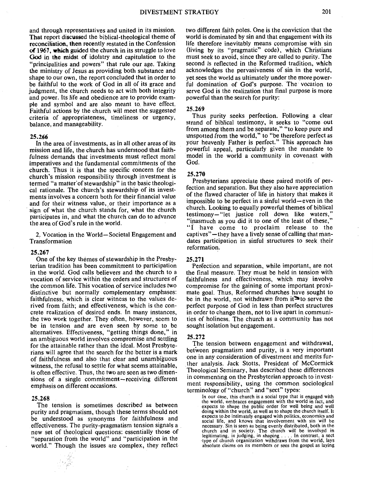and through representatives and united in its mission. That report discussed the biblical-theological theme of reconciliation, then recently restated in the Confession Of 1967, **which** guided the church in its struggle to love God in the midst of idolatry and capitulation to the "principalities and powers" that rule our age. Taking the ministry of Jesus as providing both substance and shape to our own, the report concluded that in order to be faithful to the work of God in all of its grace and judgment, the church needs to act with both integrity and power. Its life and obedience are to provide example and symbol and are also meant to\_ have effect. Faithful actions by the church will meet the suggested criteria of appropriateness, timeliness or urgency, balance, and manageability.

# 25.266

In the area of investments, as in all other areas of its mission and life, the church has understood that faithfulness demands that investments must reflect moral imperatives and the fundamental commitments of the church. Thus it is that the specific concern for the church's mission responsibility through investment is termed "a matter· of stewardship" in the basic theological rationale. The church's stewardship of its investments involves a concern both for their financial value and for their witness value, or their importance as a sign of what the church stands for, what the church participates in, and what the church can do to advance the area of God's rule in the world.

2. Vocation in the World-Societal Engagement and Transformation ·

#### 25.267

One of the key themes of stewardship in the Presbyterian tradition has been commitment to participation in the world. God calls believers and the church to a vocation of service within the orders and structures of the common life. This vocation of service includes two distinctive but normally complementary emphases: faithfulness, which is clear witness to the values derived from faith; and effectiveness, which is the concrete realization of desired ends. In many instances, the two work together. They often, however, seem to be in tension and are even seen by some to be alternatives. Effectiveness, "getting things done," in an ambiguous world involves compromise and settling for the attainable rather than the ideal. Most Presbyterians will agree that the search for the better is a mark of faithfulness and also that clear and unambiguous witness, the refusal to settle for what seems attainable, is often effective. Thus, the two are seen as two dimensions of a single commitment-receiving different emphasis on different occasions.

# 25.268

The tension is sometimes described as between purity and pragmatism, though these terms should not be understood as synonyms for faithfulness and effectiveness. The purity-pragmatism tension signals a new set of theological questions: essentially those of "separation from the world" and "participation in the world." Though the issues are complex, they reflect

two different faith poles. One is the conviction that the world is dominated by sin and that engagement with its life therefore inevitably means compromise with sin (living by its "pragmatic" code), which Christians musi seek to avoid, since they are called to purity. The second is reflected in the Reformed tradition, which acknowledges the pervasiveness of sin in the world, yet sees the world as ultimately under the more powerful domination of God's purpose. The vocation to serve God is the realization that final purpose is more powerful than the search for purity:

#### 25.269

Thus purity seeks perfection. Following a clear strand of biblical testimony, it seeks to "come out from among them and be separate," "to keep pure and unspotted from the world," to "be therefore perfect as your heavenly Father is perfect." This approach has powerful appeal, particularly given the mandate to model in the world a community in covenant with God.

# 25.270

Presbyterians appreciate these paired motifs of perfection and separation. But they also have appreciation of the flawed character of life in history that makes it impossible to be perfect in a sinful world-even in the church. Looking to equally powerful themes of biblical testimony- "let justice roll down like waters," "inasmuch as you did it to one of the least of these," "I have come to proclaim release to the captives" - they have a lively sense of calling that mandates participation in sinful structures to seek their reformation.

#### 25.271

Perfection and separation, while important, are not the final measure. They must be held in tension with faithfulness and effectiveness, whieh may involve compromise for the gaining of some important proximate goal. Thus, Reformed churches have sought to be in the world, not withdrawn from it\*to serve the perfect purpose of God in less than perfect structures in order to change them, not to live apart in communities of holiness. The church as a community has not sought isolation but engagement.

# 25.272

The tension between engagement and withdrawal, between pragmatism and purity, is a very important one in any consideration of divestment and merits fur- . ther analysis. Jack Stotts, President of McCormick Theological Seminary, has described these differences in commenting on the Presbyterian approach to investment responsibility, using the common sociological terminology of "church" and "sect" types:

In our case, this church is a social type that is engaged with the world, embraces engagement with the world in fact, and expects to shape the public order for well being and well doing within the world, as well as to shape the church itself. It expects to he intimately engaged with politics, economics and social life, and knows that involvement with sin will be necessary. Sin is seen as being evenly distributed, both in the church and in society. The church will be involvyd in legitimating, in judging, in shaping .... In contrast, a sect ·type of church organization withdraws from the world, lays absolute claims on its members or sees the gospel as laying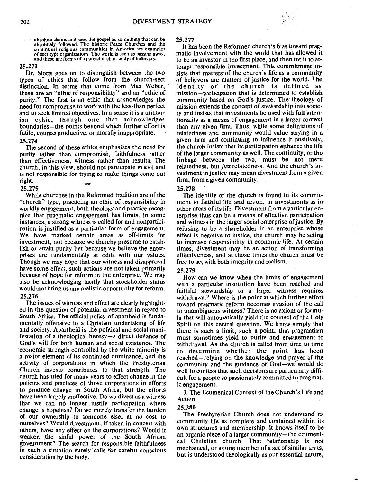absolute claims and sees the gospel as something that can be absolutely followed. The historic Peace Churches and the communal religious communities in America are examples of sect type organizations. The world is seen as passing away, and these are forms of a pure church or body of believers.

# 25.273

Dr. Stotts goes on to distinguish between the two types of ethics that follow from the church-sect distinction. In terms that come from Max Weber, these are an "ethic of responsibility" and an "ethic of purity." The first is an ethic that acknowledges the need for compromise to work with the less-than perfect and to seek limited objectives. In a sense it is a utilitarian ethic, though one that acknowledges boundaries—the points beyond which further effort is futile, counterproductive, or morally inappropriate.

# 25.274

The second of these ethics emphasizes the need for purity rather than compromise, faithfulness rather than effectiveness, witness rather than results. The church, in this view, should not participate in evil and is not responsible for trying to make things come out right.

# 25.275

While churches in the Reformed tradition are of the "church" type, practicing an ethic of responsibility in worldly engagement, both theology and practice recognize that pragmatic engagement has limits. In some instances, a strong witness is called for and nonpartici- . pation is justified as a particular form of engagement. We have marked certain areas as off-limits for investment, not because we thereby presume to establish or attain purity but because we believe the enterprises are fundamentally at odds with our values. Though we may hope that our witness and disapproval have some effect, such actions are not taken primarily because of hope for reform in the enterprise. We may also be acknowledging tacitly that stockholder status would not bring us any realistic opportunity for reform.

# 25.276

The issues of witness and effect are clearly highlighted in the question of potential divestment in regard to South Africa. The official policy of apartheid is fundamentally offensive to a Christian undertaking of life and society. Apartheid is the political and social manifestation of a theological heresy-a direct defiance of God's will for both human and social existence. The economic strength controlled by the white minority is a major element of its continued dominance, and the activity of corporations in which· the Presbyterian Church invests contributes to that strength. The church has tried for many years to effect change in the policies and practices of those corporations in efforts to produce change in South Africa, but the efforts have been largely ineffective. Do we divest as a witness that we can no longer justify participation where change is hopeless? Do we merely transfer the burden of our ownership to someone else, at no cost to ourselves? Would divestment, if taken in concert with others, have any effect on the corporations? Would it weaken the sinful power of the South African government? The search for responsible faithfulness in such a situation surely· calls for careful conscious consideration by the body.

# 25.2n

It has been the Reformed church's bias toward pragmatic involvement with the world that has allowed it to be an investor in the first place, and then for it to attempt responsible investment. This commitment insists that matters of the church's life as a community of believers are matters of justice for the world. The identity of the church is defined as mission-participation that is determined to establish community based on God's justice. The· theology of mission extends the concept of stewardship into society and insists that investments be used with full intentionality as a means of engagement in a larger context than any given firm. Thus, while some definitions of relatedness and community would value staying in a given firm and continuing to influence it positively, the church insists that its participation enhance the life of the larger community as well. The continuity, or the linkage between the two, must be not mere relatedness, but *just* relatedness. And the church's investment in justice may mean divestment from a given firm, from a given community.

# 25.278

The identity of the church is found in its commitment to faithful life and action, in investments as in other areas of its life. Divestment from a particular enterprise thus can be a means of effective participation and witness in the larger social enterprise of justice. By refusing to be a shareholder in an enterprise whose effect is negative to justice, the church may be acting to increase responsibility in economic life. At certain times, divestment may be an action of transforming effectiveness, and at those times the church must be free to act with both integrity and realism.

# 25.279

How can we know when the limits of engagement with a particular institution have been reached and faithful stewardship to a larger witness requires withdrawal? Where is the point at which further effort toward pragmatic reform becomes evasion of the call to unambiguous witness? There is no axiom or formula that will automatically yield the counsel of the Holy Spirit on this central question. We know simply that there is such a limit, such a point, that pragmatism must sometimes yield to purity and engagement to withdrawal. As the church is called from time to time to determine whether the point has been reached-relying on the knowledge and prayer of the community and the guidance of God-we· would do well to confess that such decisions are particularly difficult for a people so passionately committed to pragmatic engagement.

3. The Ecumenical Context of the Church's Life and Action·

# 25.280

The Presbyterian Church does not understand its community life as complete and contained within its own structures and membership. It knows itself to be an organic piece of a larger community-the ecumenical Christian church. That relationship is not mechanical, or as one member of a set of similar units, but is understood theologically as our essential nature,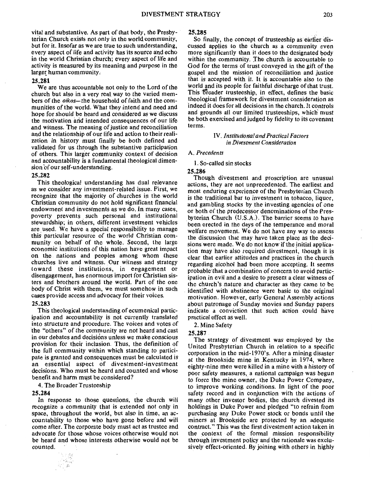vilal and substantive. As part of that body, the Presbyterian Church exists not only in the world community, but for it. Insofar as we are true to such understanding, every aspect of life and activity has its source and echo in the world Christian church; every aspect of life and activity is measured by its meaning and purpose in the larger human community.

# 25.281

We are thus accountable not only to the Lord of the church but also in a very real way to the varied members of the *oikos-*the household of faith and the communities of the world. What they intend and need and hope for should be heard and considered as we discuss the motivation and intended consequences of our life and witness. The meaning of justice and reconciliation and the relationship of our life and action to their realization in history must finally be both defined and validated for us through the substantive participation of others. This larger community context of decision and accountability is a fundamental theological dimension of our self-understanding.

#### 25.282

This theological understanding has dual relevance as we consider any investment-related issue. First, we recognize that the majority of churches in the world Christian community do not hold significant financial endowment and investments as we do. In many cases, poverty prevents such personal and institutional stewardship; in others, different investment vehicles are used. We have a special responsibility to manage this particular resource of the world Christian community on behalf of the whole. Second, the large economic institutions of this nation have great impact on the nations and peoples among whom these churches live and witness. Our witness and strategy toward these institutions, in engagement or disengagement, has enormous import for Christian sisters and brothers around the world. Part of the one body of Christ with them, we must somehow in such cases provide access and advocacy for their voices.

#### 25.283

This theological understanding of ecumenical participation and accountability is not currently translated into structure and procedure. The voices and votes of the "others" of the community are not heard and cast in our debates and decisions unless we make conscious provision for their inclusion. Thus, the definition of the full community within which standing to participate is granted and consequences must be calculated is an essential aspect of divestment-investment decisions. Who must be heard and counted and whose benefit and harm must be considered?

# 4. The Broader Trusteeship

.~.:-

# 25.284

In response to those questions, the church will recognize a community that is extended not only in space, throughout the world, but also in time, an accountability to those who have gone before and will come after. The corporate body must act as trustee and advocate for those whose voices otherwise would not be heard and whose interests otherwise would not be counted.

### 25.285

So finally, the concept of trusteeship as earlier discussed applies to the church as a community even more significantly than it does to the designated body within the community. The church is accountable to God for the terms of trust conveyed in the gift of the gospel and the mission of reconciliation and justice that is accepted with it. It is accountable also to the world and its people for faithful discharge of that trust. This broader trusteeship, in effect, defines the basic theological framework for divestment consideration as indeed it does for all decisions in the church. It controls and grounds all our limited trusteeships, which' must be both exercised and judged *by* fidelity to its covenant terms.

# IV. *Institutional and Practical Factors in Divestment Consideration*

#### A. *Precedents*

1. So-called sin stocks

# 25.286

Though divestment and proscription are unusual actions, they are not unprecedented. The earliest and most enduring experience of the Presbyterian Church is the traditional bar to investment in tobacco, liquor, and gambling stocks by the investing agencies of one or both of the predecessor denominations of the Presbyterian Church (U.S.A.). The barrier seems to have been erected in the days of the temperance and moral welfare movement. We do not have any way to assess the discussion that may have taken place as the decisions were made. We do not know if the initial application may have also required divestment, though it is clear that earlier attitudes and practices in the church regarding alcohol had been more accepting. It seems probable·that a combination of concern to avoid participation in evil and a desire to present a clear witness of the church's nature and character as they came to be identified with abstinence were basic to the original motivation. However, early General Assembly actions about patronage of Sunday movies and Sunday papers indicate a conviction that such action could have practical effect as well.

2. Mine Safety

#### 25.287

The strategy of divestment was employed by the United Presbyterian Church in relation to a specific corporation in the mid-1970's. After a mining disaster at the Brookside mine in Kentucky in 1974, where eighty-nine men were killed in a mine with a history of poor safety measures, a national campaign was begun to force the mine owner, the Duke Power Company, to improve working conditions. In light of the poor safety record and in conjunction with the actions of many other investor bodies, the church divested its holdings in Duke Power and pledged "to refrain from purchasing any Duke Power stock or bonds until the miners at Brookside are protected by an adequate contract." This was the first divestment action taken in the context of the formal mission responsibility through investment policy and the rationale was exclusively effect-oriented. By joining with others in highly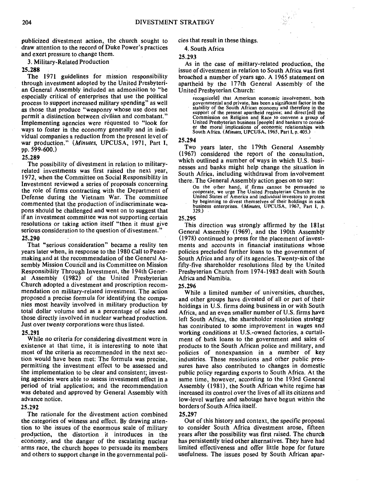publicized divestment action, the church sought to draw attention to the record of D'uke Power's practices and exert pressure to change them.

3. Military-Related Production

# 25.288

The 1971 guidelines for mission responsibility through investment adopted by the United Presbyterian General Assembly included an admonition to "be especially critical of enterprises that use the political process to support increased military spending" as well as those that produce "weaponry whose use does not permit a distinction between civilian and combatant.' Implementing agencies were requested to "look for ways to foster in the economy generally and in individual companies a reduction from the present level of war production." *(Minutes,* UPCUSA, 1971, Part I, pp. 599-600.)

# 25.289

The possibility of divestment in relation to militaryrelated investments was first raised the next year, 1972, when the Committee on Social Responsibility in Investment reviewed a series of proposals concerning the role of firms contracting with the Department of Defense during the Vietnam War. The committee commented that the production of indiscriminate weapons should be challenged and went on to suggest that if an investment committee was not supporting certain resolutions or taking action itself "then it must give serious consideration to the question of divestment."

# 25.290

That "serious consideration" became a reality ten years later when, in response to the 1980 Call to Peacemaking and at the recommendation of the General Assembly Mission Council and its Committee on Mission Responsibility Through Investment, the 194th General Assembly (1982) of the United Presbyterian Church adopted a divestment and proscription recommendation on military-related investment. The action proposed a precise formula for identifying the companies most heavily involved in military production by total dollar volume and as a percentage of sales and those directly involved in nuclear warhead production. Just over twenty corporations were thus listed.

#### 25.291

While no criteria for considering divestment were in existence at that time, it is interesting to note that most of the criteria as recommended in the next section would have been met: The formula was precise, permitting the investment effect to be assessed and the implementation to be clear and consistent; investing agencies were able to assess investment effect in a period of trial application; and the recommendation was debated and approved by General Assembly with advance notice.

# 25.292

The rationale for the divestment action combined the categories of witness and effect. By drawing attention to the issues of the enormous scale of military production, the distortion it introduces in the economy, and the danger of the escalating nuclear arms race, the church hopes to persuade its members and others to support change in the governmental policies that result in these things.

# 4. South Africa

#### 25.293

As in the case of military-related production, the issue of divestment in relation to South Africa was first broached a number of years ago. A 1965 statement on apartheid by the 177th General Assembly· of the United Presbyterian Church:

recognize[d) that American economic involvement, both governmental and private, has been.a significant factor in the stability of the South African economy and therefore in the support of the present apartheid regime; and direct[ed] the Commission on Religion and Race to convene a group of United Presbyterian business [people] and bankers to consid-<br>er the moral implications of economic relationships with South Africa. (Minutes, UPCUSA, 1965, Part I, p. 405.)

#### 25.294

Two years later, the 179th General Assembly (1967) considered the report of the consultation, which outlined a number of ways in which U.S. businesses and banks might help change the situation in South Africa, including withdrawal from involvement there. The General Assembly action goes on to say:

On the other hand, if firms cannot be persuaded to cooperate; we urge The United Presbyterian Church in the United States of America and individual investors to protest by beginning to divest themselves of their holdings in such business enterprises. *(Minutes,* UPCUSA, 1967, Part I, p. 329.)

#### 25.295

This direction was strongly affirmed by the 181st General Assembly (1969), and the 190th Assembly (1978) continued to press for the placement of investments and accounts in financiat institutions whose policies precluded further loans to the government of South Africa and any of its agencies. Twenty-six of the fifty-five shareholder resolutions filed by the United Presbyterian Church from 1974-1982 dealt with South Africa and Namibia.

#### 25.296

While a limited number of universities, churches, and other groups have divested of all or part of their holdings in U.S. firms doing business in or with South Africa, and an even smaller number of U.S. firms have left South Africa, the shareholder resolution strategy has contributed to some improvement in wages and working conditions at U.S.-owned factories, a curtailment of bank loans to the government and sales of products to the South African police and military, and policies of nonexpansion in a number of key industries. These resolutions and other public pressures have also contributed to changes in domestic public policy. regarding exports to South Africa. At the same time, however, according to the 193rd General Assembly (1981), the South African white regime has increased its control over the lives of all its citizens and low-level warfare and sabotage have begun within the borders of South Africa itself.

#### 25.297

Out of this history and context, the specific proposal to consider South Africa divestment arose, fifteen years after the possibility was first raised. The churcb has persistently tried other alternatives. They have had limited effectiveness and offer little hope for future usefulness. The issues posed by South African apar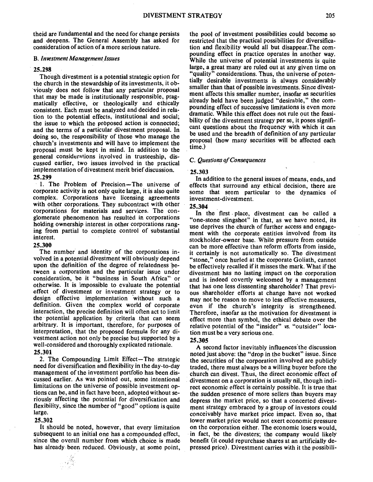theid are "fundamental and the need for change persists and deepens. The General Assembly has asked for consideration of action of a more serious nature.

#### B. *Investment Management Issues*

# 25.298

Though divestment is a potential strategic option for the church in the stewardship of its investments, it obviously does not follow that any particular proposal that may be made is institutionally responsible, pragmatically effective, or theologically and ethically consistent. Each must be analyzed and decided in relation to the potential effects, institutional and social; the issue to which the proposed action is connected; and the terms of a particular divestment proposal. In doing so, the responsibility of those who manage the church's investments and will have to implement the proposal must be kept in mind. In addition to the general considerations involved in trusteeship, discussed earlier, two issues involved in the practical implementation of divestment merit brief discussion.

# 25.299

1. The Problem of Precision-The universe of corporate activity is not only quite large, it is also quite complex. Corporations have licensing agreements with other corporations. They subcontract with other corporations for materials and services. The conglomerate phenomenon has resulted in corporations holding ownership interest in other corporations ranging from partial to complete control of substantial interest.

# 25.300

The number and identity of the corporations involved in a potential divestment will obviously depend upon the definition of the degree of relatedness between a corporation and the particular issue under consideration, be it "business in South Africa" or otherwise. It is impossible to evaluate the potential effect of divestment or investment strategy or to design effective implementation 'without such a definition. Given the complex world of corporate interaction, the precise definition will often act to limit the potential application by criteria that can seem arbitrary. It is important, therefore, for purposes of interpretation, that the proposed formula for any divestment action not only be precise but supported by a well-considered and thoroughly explicated rationale.

# 25.301

2. The Compounding Limit Effect-The strategic need for diversification and flexibility in the day-to-day management of the investment portfolio has been discussed earlier. As was pointed out, some intentional limitations on the universe of possible investment options can be, and in fact have been, adopted without seriously affecting the potential for diversification and flexibility, since the number of "good" options is quite large.

# 25.302

It should be noted, however, that every limitation subsequent to an initial one has a compounded effect, since the overall number from which choice is made has already been reduced. Obviously, at some point, the pool of investment possibilities could become so restricted that the practical possibilities for diversification and flexibility would all but disappear.The compounding effect in practice operates in another way. While the universe of potential investments is quite large, a great many are ruled out at any given time on "quality" considerations. Thus, the universe of potentially desirable investments is always considerably smaller than that of possible investments. Since divestment affects this smaller number, insofar as securities already held have been judged "desirable," the compounding effect of successive limitations is even more dramatic. While this effect does not rule out the feasibility of the divestment strategy per se, it poses significant questions about the frequency with which it can be used and the breadth of definition of any particular proposal (how many securities will be affected each time.)

# C. *Questions of Consequences*

#### . 25.303

In addition to the general issues of means, ends, and effects that surround any ethical decision, there are some that seem particular to the dynamics of investment-divestment.

# 25.304

In the first place, divestment can be called a "one-stone slingshot" in that, as we have noted, its use deprives the church of further access and engagement with the corporate entities involved from its stockholder-owner base. While pressure from outside can be more effective than reform efforts from inside, it certainly is not automatically so. The divestment "stone," once hurled at the corporate Goliath, cannot be effectively recalled if it misses the mark. What if the divestment has no lasting impact on the corporation and is indeed covertly welcomed by a management that has one less disssenting shareholder? That previous shareholder efforts at change have not worked may not be reason to move to less effective measures, even if the church's integrity is strengthened. Therefore, insofar as the motivation for divestment is effect more than symbol, the ethical debate over the relative potential of the "insider" *vs.* "outsider" location must be a very serious one.

#### 25.305

A second factor inevitably influences the discussion noted just above: the "drop in the bucket" issue. Since the securities of the corporation involved are publicly traded, there must always be a willing buyer before the church can divest. Thus, the direct economic effect of . divestment on a corporation is usually nil, though indirect economic effect is certainly possible. It is true that the sudden presence of more sellers than buyers may depress the market price, so that a concerted divestment strategy embraced by a group of investors could conceivably have market price impact. Even so, that lower market price would not exert economic pressure on the corporation either. The economic losers would, in fact, be the divesters; the company would likely benefit (it could repurchase shares at an artificially depressed price). Divestment carries with it the possibili-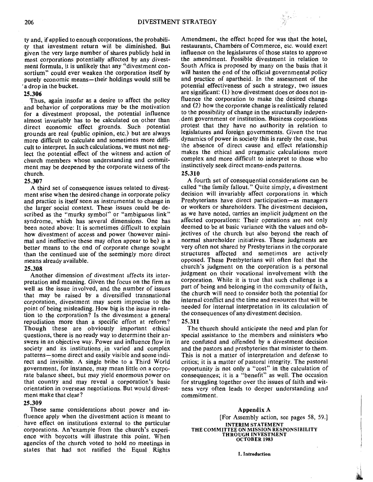ty and, if applied to enough corporations, the probabili- -ty that investment return will be diminished. But given the very large·number of shares publicly held in most corporations potentially affected by any divestment formula, it is unlikely that any "divestment consortium" could ever weaken. the corporation itself by purely economic means—their holdings would still be ·a drop in the bucket.

# 25.306

Thus, again insofar as a desire to affect the policy and behavior of corporations may be the motivation for a divestment proposal, the potential influence almost invariably has to be calculated on other than . direct economic effect grounds. Such potential grounds are real (public opinion, etc.) but are always more difficult to calculate and sometimes more difficult to interpret. In such calculations, we must not neglect the potential effect of the witness and action of church members whose understanding and commitment may be deepened by the corporate witness of the church.

# 25.307

A third set of consequence issues related to divestment arise when the desired change in corporate policy and practice is itself seen as instrumental to change in the larger· social context. These issues could be described as the "murky symbol" or "ambiguous link" syndrome, which has several dimensions. One has been noted above: It is sometimes difficult to explain how divestment of access and power (however minimal and ineffective these may often appear to be) is a better means to the end of corporate change sought than the continued use of the seemingly more direct means already available.

# 25.308

Another dimension of divestment affects its interpretation and meaning. Given the focus on the firm as well as the issue involved, and the number of issues that may be raised by a diversified transnational corporation, divestment may seem imprecise to the point of being misleading. How big is the issue in relation to the corporation? Is the divestment a general repudiation more than a specific effort at reform? Though these are obviously important ethical questions, there is no ready way to determine their answers in an objective way. Power and influence flow in society and its institutions, in varied and complex patterns-some direct and easily visible and some indirect and invisible. A single bribe to a Third World government, for instance, may mean little on a corporate balance sheet, but may yield enormous power on that country and may reveal a corporation's basic orientation in overseas negotiations. But would divestment make that clear?

# 25.309

These same considerations about power and influence apply when the divestment action is meant to have effect on institutions external to the particular corporations. An'example from the church's experience with boycotts will illustrate this point. When agencies of the church voted to hold no meetings in states that had not ratified the Equal Rights

Amendment, the effect hoped for was that the hotel, restaurants, Chambers of Commerce, etc. would exert influence on the legislatures of those states to approve the amendment. Possible divestment in relation to South Africa is proposed by many on the basis that it will hasten the end of the official governmental policy and practice of apartheid. In the assessment of the potential effectiveness of such a strategy, two issues are significant': (1) how divestment does or does not influence the corporation to make the desired change and (2) how the corporate change is realistically related to the possibility of change in the structurally indepen dent government or institution. Business corporations protest that they have no authority in relation to legislatures and foreign governments. Given the true dynamics of power in society this is rarely the case, but the absence of direct cause and effect relationship makes the ethical and pragmatic calculations more complex and more difficult to interpret to those who instinctively seek direct means-ends patterns.

*•'·'!* 

#### 25.310

A fourth set of consequential considerations can be called "the family fallout." Quite simply, a divestment decision will invariably affect corporations in which Presbyterians have direct participation-as managers or workers or shareholders. The divestment decision, as we have noted, carries an implicit judgment on the affected corporations: Their operations are not only deemed to be at basic variance with the values and objectives of the church but also beyond the reach of normal shareholder initiatives. These judgments are very often not shared by Presbyterians in the corporate structures affected and sometimes are actively opposed. These Presbyterians will often feel that the church's judgment on the corporation is a personal judgment on their vocational involvement with the corporation. While it is true that such challenge is a part of being and belonging in the community of faith, the church will need to consider both the potential for internal conflict and the time and resources that will be needed for internal interpretation in its calculation of the consequences of any divestment decision.

#### 25.311

The thurch should anticipate the need and plan for special assistance to the members and ministers who are confused and offended by a divestment decision and the pastors and presbyteries that minister to them. This is not a matter of interpretation and defense to critics; it is a matter of pastoral integrity. The pastoral opportunity is not only a "cost" in the calculation of consequences; it is a "benefit" as well. The occasion for struggling together over the issues of faith and witness very often leads to deeper understanding and commitment.

Appendix A [For Assembly action, see pages 58, 59.] INTERIM STATEMENT THE COMMITTEE ON MISSION RESPONSIBILITY THROUGH INVESTMENT OCTOBER 1983

I. Introduction